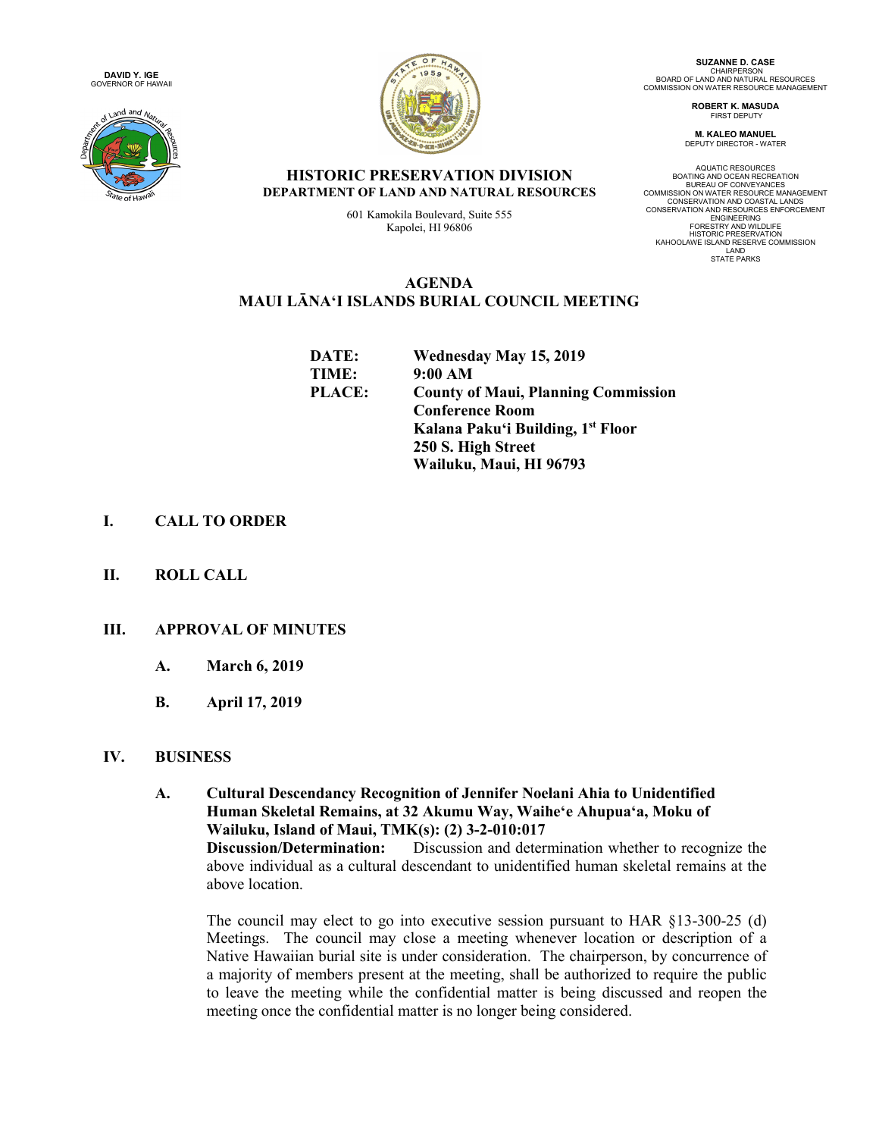**DAVID Y. IGE** GOVERNOR OF HAWAII





**SUZANNE D. CASE** CHAIRPERSON<br>BOARD OF LAND AND NATURAL RESOURCES<br>COMMISSION ON WATER RESOURCE MANAGEMENT

> **ROBERT K. MASUDA** FIRST DEPUTY

**M. KALEO MANUEL** DEPUTY DIRECTOR - WATER

AQUATIC RESOURCES BOATING AND OCEAN RECREATION BUREAU OF CONVEYANCES COMMISSION ON WATER RESOURCE MANAGEMENT CONSERVATION AND COASTAL LANDS CONSERVATION AND RESOURCES ENFORCEMENT **ENGINEERING** FORESTRY AND WILDLIFE HISTORIC PRESERVATION KAHOOLAWE ISLAND RESERVE COMMISSION LAND STATE PARKS

### **HISTORIC PRESERVATION DIVISION DEPARTMENT OF LAND AND NATURAL RESOURCES**

601 Kamokila Boulevard, Suite 555 Kapolei, HI 96806

## **AGENDA MAUI LĀNAʻI ISLANDS BURIAL COUNCIL MEETING**

| DATE:  | Wednesday May 15, 2019                     |
|--------|--------------------------------------------|
| TIME:  | 9:00 AM                                    |
| PLACE: | <b>County of Maui, Planning Commission</b> |
|        | <b>Conference Room</b>                     |
|        | Kalana Paku'i Building, 1st Floor          |
|        | 250 S. High Street                         |
|        | Wailuku, Maui, HI 96793                    |

# **I. CALL TO ORDER**

**II. ROLL CALL**

# **III. APPROVAL OF MINUTES**

- **A. March 6, 2019**
- **B. April 17, 2019**

### **IV. BUSINESS**

**A. Cultural Descendancy Recognition of Jennifer Noelani Ahia to Unidentified Human Skeletal Remains, at 32 Akumu Way, Waiheʻe Ahupuaʻa, Moku of Wailuku, Island of Maui, TMK(s): (2) 3-2-010:017 Discussion/Determination:** Discussion and determination whether to recognize the above individual as a cultural descendant to unidentified human skeletal remains at the above location.

The council may elect to go into executive session pursuant to HAR §13-300-25 (d) Meetings. The council may close a meeting whenever location or description of a Native Hawaiian burial site is under consideration. The chairperson, by concurrence of a majority of members present at the meeting, shall be authorized to require the public to leave the meeting while the confidential matter is being discussed and reopen the meeting once the confidential matter is no longer being considered.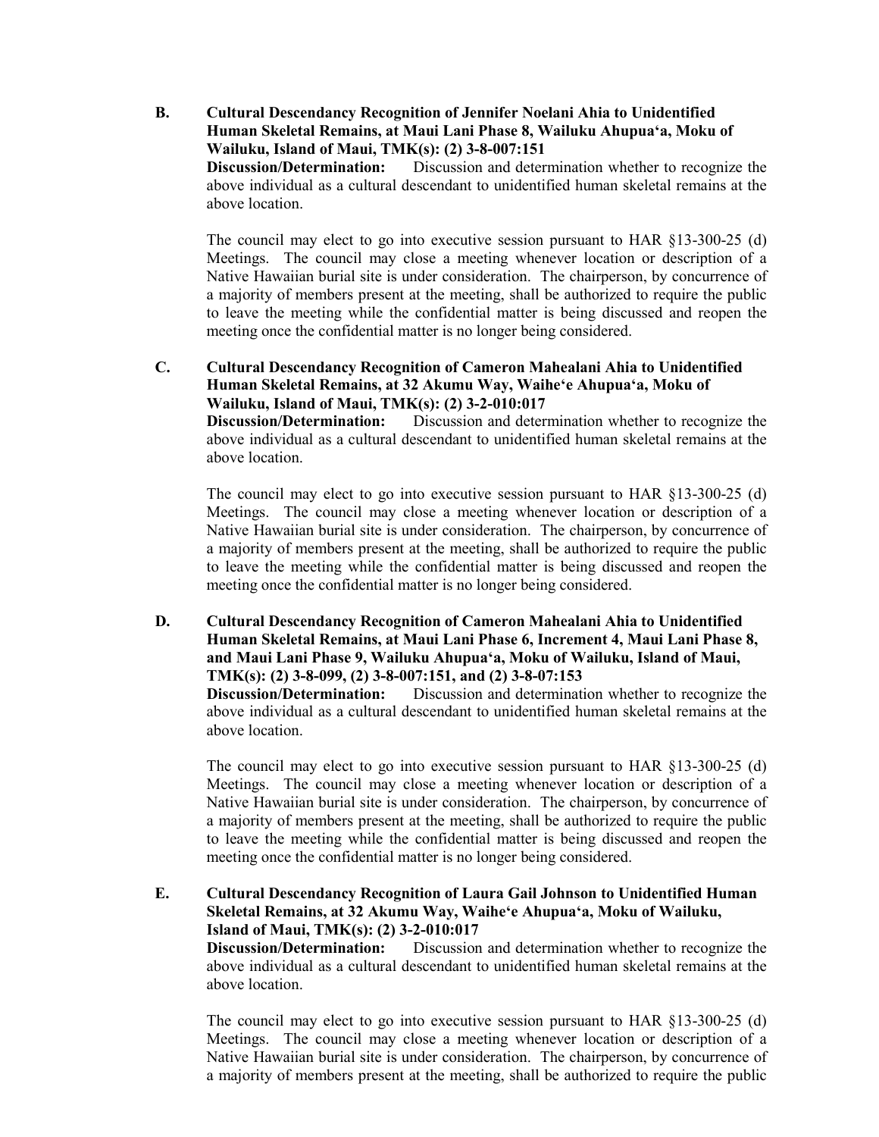**B. Cultural Descendancy Recognition of Jennifer Noelani Ahia to Unidentified Human Skeletal Remains, at Maui Lani Phase 8, Wailuku Ahupuaʻa, Moku of Wailuku, Island of Maui, TMK(s): (2) 3-8-007:151** Discussion and determination whether to recognize the above individual as a cultural descendant to unidentified human skeletal remains at the above location.

The council may elect to go into executive session pursuant to HAR §13-300-25 (d) Meetings. The council may close a meeting whenever location or description of a Native Hawaiian burial site is under consideration. The chairperson, by concurrence of a majority of members present at the meeting, shall be authorized to require the public to leave the meeting while the confidential matter is being discussed and reopen the meeting once the confidential matter is no longer being considered.

### **C. Cultural Descendancy Recognition of Cameron Mahealani Ahia to Unidentified Human Skeletal Remains, at 32 Akumu Way, Waiheʻe Ahupuaʻa, Moku of Wailuku, Island of Maui, TMK(s): (2) 3-2-010:017**

**Discussion/Determination:** Discussion and determination whether to recognize the above individual as a cultural descendant to unidentified human skeletal remains at the above location.

The council may elect to go into executive session pursuant to HAR §13-300-25 (d) Meetings. The council may close a meeting whenever location or description of a Native Hawaiian burial site is under consideration. The chairperson, by concurrence of a majority of members present at the meeting, shall be authorized to require the public to leave the meeting while the confidential matter is being discussed and reopen the meeting once the confidential matter is no longer being considered.

**D. Cultural Descendancy Recognition of Cameron Mahealani Ahia to Unidentified Human Skeletal Remains, at Maui Lani Phase 6, Increment 4, Maui Lani Phase 8, and Maui Lani Phase 9, Wailuku Ahupuaʻa, Moku of Wailuku, Island of Maui, TMK(s): (2) 3-8-099, (2) 3-8-007:151, and (2) 3-8-07:153**

**Discussion/Determination:** Discussion and determination whether to recognize the above individual as a cultural descendant to unidentified human skeletal remains at the above location.

The council may elect to go into executive session pursuant to HAR §13-300-25 (d) Meetings. The council may close a meeting whenever location or description of a Native Hawaiian burial site is under consideration. The chairperson, by concurrence of a majority of members present at the meeting, shall be authorized to require the public to leave the meeting while the confidential matter is being discussed and reopen the meeting once the confidential matter is no longer being considered.

**E. Cultural Descendancy Recognition of Laura Gail Johnson to Unidentified Human Skeletal Remains, at 32 Akumu Way, Waiheʻe Ahupuaʻa, Moku of Wailuku, Island of Maui, TMK(s): (2) 3-2-010:017 Discussion/Determination:** Discussion and determination whether to recognize the above individual as a cultural descendant to unidentified human skeletal remains at the above location.

The council may elect to go into executive session pursuant to HAR §13-300-25 (d) Meetings. The council may close a meeting whenever location or description of a Native Hawaiian burial site is under consideration. The chairperson, by concurrence of a majority of members present at the meeting, shall be authorized to require the public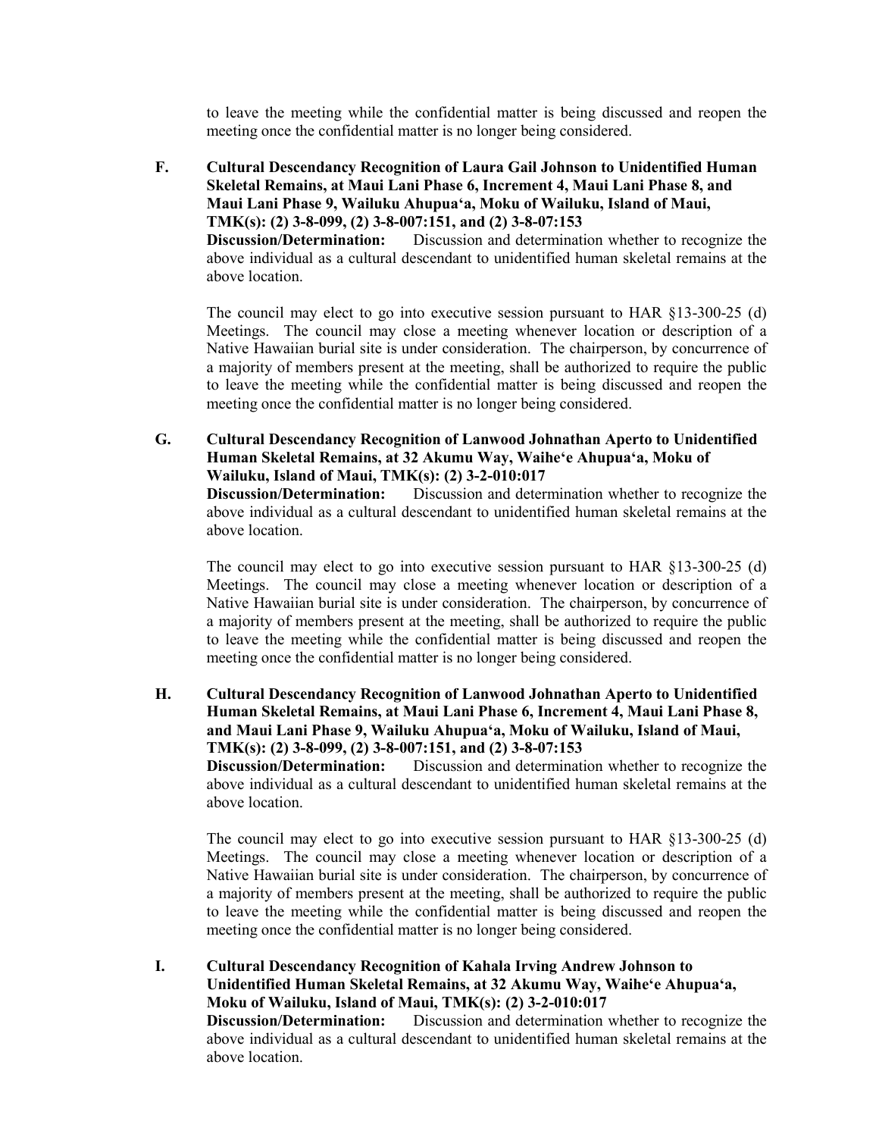to leave the meeting while the confidential matter is being discussed and reopen the meeting once the confidential matter is no longer being considered.

**F. Cultural Descendancy Recognition of Laura Gail Johnson to Unidentified Human Skeletal Remains, at Maui Lani Phase 6, Increment 4, Maui Lani Phase 8, and Maui Lani Phase 9, Wailuku Ahupuaʻa, Moku of Wailuku, Island of Maui, TMK(s): (2) 3-8-099, (2) 3-8-007:151, and (2) 3-8-07:153 Discussion/Determination:** Discussion and determination whether to recognize the above individual as a cultural descendant to unidentified human skeletal remains at the above location.

The council may elect to go into executive session pursuant to HAR §13-300-25 (d) Meetings. The council may close a meeting whenever location or description of a Native Hawaiian burial site is under consideration. The chairperson, by concurrence of a majority of members present at the meeting, shall be authorized to require the public to leave the meeting while the confidential matter is being discussed and reopen the meeting once the confidential matter is no longer being considered.

**G. Cultural Descendancy Recognition of Lanwood Johnathan Aperto to Unidentified Human Skeletal Remains, at 32 Akumu Way, Waiheʻe Ahupuaʻa, Moku of Wailuku, Island of Maui, TMK(s): (2) 3-2-010:017**

**Discussion/Determination:** Discussion and determination whether to recognize the above individual as a cultural descendant to unidentified human skeletal remains at the above location.

The council may elect to go into executive session pursuant to HAR §13-300-25 (d) Meetings. The council may close a meeting whenever location or description of a Native Hawaiian burial site is under consideration. The chairperson, by concurrence of a majority of members present at the meeting, shall be authorized to require the public to leave the meeting while the confidential matter is being discussed and reopen the meeting once the confidential matter is no longer being considered.

**H. Cultural Descendancy Recognition of Lanwood Johnathan Aperto to Unidentified Human Skeletal Remains, at Maui Lani Phase 6, Increment 4, Maui Lani Phase 8, and Maui Lani Phase 9, Wailuku Ahupuaʻa, Moku of Wailuku, Island of Maui, TMK(s): (2) 3-8-099, (2) 3-8-007:151, and (2) 3-8-07:153**

**Discussion/Determination:** Discussion and determination whether to recognize the above individual as a cultural descendant to unidentified human skeletal remains at the above location.

The council may elect to go into executive session pursuant to HAR §13-300-25 (d) Meetings. The council may close a meeting whenever location or description of a Native Hawaiian burial site is under consideration. The chairperson, by concurrence of a majority of members present at the meeting, shall be authorized to require the public to leave the meeting while the confidential matter is being discussed and reopen the meeting once the confidential matter is no longer being considered.

**I. Cultural Descendancy Recognition of Kahala Irving Andrew Johnson to Unidentified Human Skeletal Remains, at 32 Akumu Way, Waiheʻe Ahupuaʻa, Moku of Wailuku, Island of Maui, TMK(s): (2) 3-2-010:017**<br>**Discussion/Determination:** Discussion and determination v Discussion and determination whether to recognize the above individual as a cultural descendant to unidentified human skeletal remains at the above location.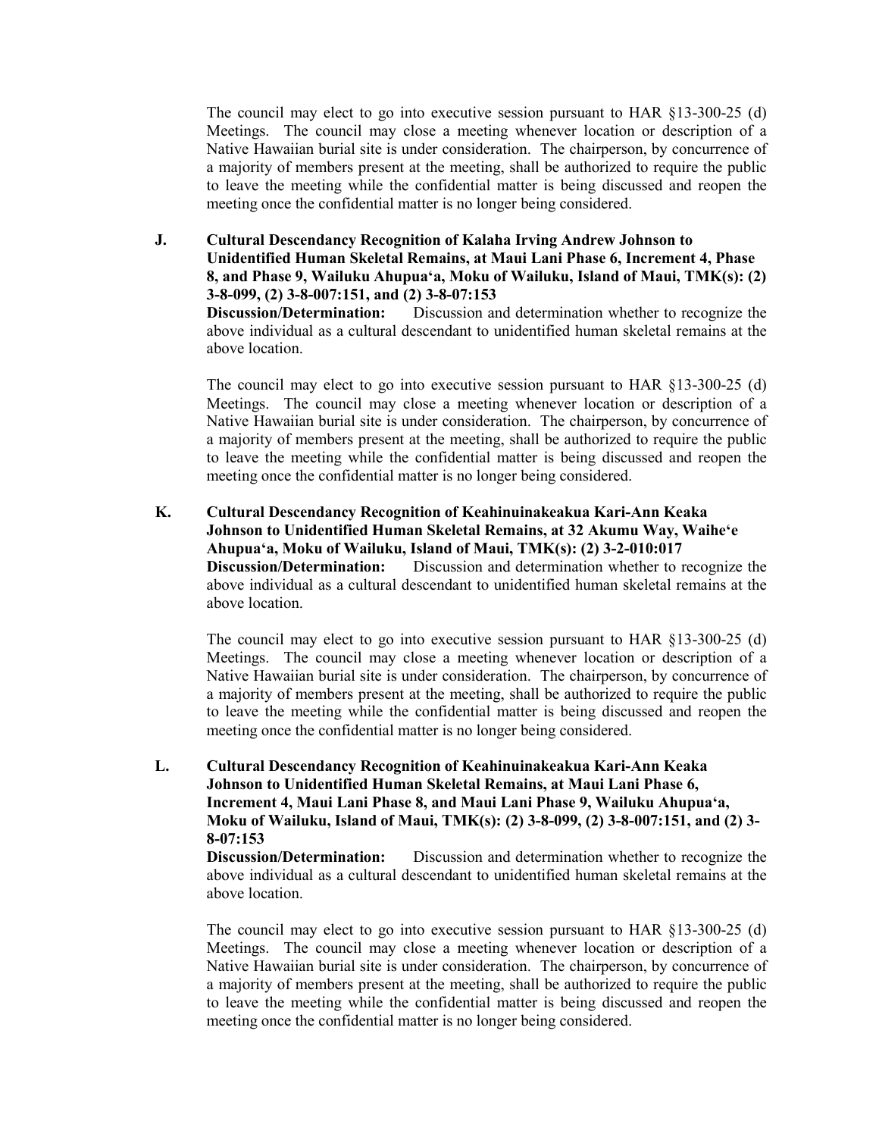The council may elect to go into executive session pursuant to HAR §13-300-25 (d) Meetings. The council may close a meeting whenever location or description of a Native Hawaiian burial site is under consideration. The chairperson, by concurrence of a majority of members present at the meeting, shall be authorized to require the public to leave the meeting while the confidential matter is being discussed and reopen the meeting once the confidential matter is no longer being considered.

**J. Cultural Descendancy Recognition of Kalaha Irving Andrew Johnson to Unidentified Human Skeletal Remains, at Maui Lani Phase 6, Increment 4, Phase 8, and Phase 9, Wailuku Ahupuaʻa, Moku of Wailuku, Island of Maui, TMK(s): (2) 3-8-099, (2) 3-8-007:151, and (2) 3-8-07:153**

**Discussion/Determination:** Discussion and determination whether to recognize the above individual as a cultural descendant to unidentified human skeletal remains at the above location.

The council may elect to go into executive session pursuant to HAR §13-300-25 (d) Meetings. The council may close a meeting whenever location or description of a Native Hawaiian burial site is under consideration. The chairperson, by concurrence of a majority of members present at the meeting, shall be authorized to require the public to leave the meeting while the confidential matter is being discussed and reopen the meeting once the confidential matter is no longer being considered.

**K. Cultural Descendancy Recognition of Keahinuinakeakua Kari-Ann Keaka Johnson to Unidentified Human Skeletal Remains, at 32 Akumu Way, Waiheʻe Ahupuaʻa, Moku of Wailuku, Island of Maui, TMK(s): (2) 3-2-010:017 Discussion/Determination:** Discussion and determination whether to recognize the above individual as a cultural descendant to unidentified human skeletal remains at the above location.

The council may elect to go into executive session pursuant to HAR §13-300-25 (d) Meetings. The council may close a meeting whenever location or description of a Native Hawaiian burial site is under consideration. The chairperson, by concurrence of a majority of members present at the meeting, shall be authorized to require the public to leave the meeting while the confidential matter is being discussed and reopen the meeting once the confidential matter is no longer being considered.

**L. Cultural Descendancy Recognition of Keahinuinakeakua Kari-Ann Keaka Johnson to Unidentified Human Skeletal Remains, at Maui Lani Phase 6, Increment 4, Maui Lani Phase 8, and Maui Lani Phase 9, Wailuku Ahupuaʻa, Moku of Wailuku, Island of Maui, TMK(s): (2) 3-8-099, (2) 3-8-007:151, and (2) 3- 8-07:153**

**Discussion/Determination:** Discussion and determination whether to recognize the above individual as a cultural descendant to unidentified human skeletal remains at the above location.

The council may elect to go into executive session pursuant to HAR §13-300-25 (d) Meetings. The council may close a meeting whenever location or description of a Native Hawaiian burial site is under consideration. The chairperson, by concurrence of a majority of members present at the meeting, shall be authorized to require the public to leave the meeting while the confidential matter is being discussed and reopen the meeting once the confidential matter is no longer being considered.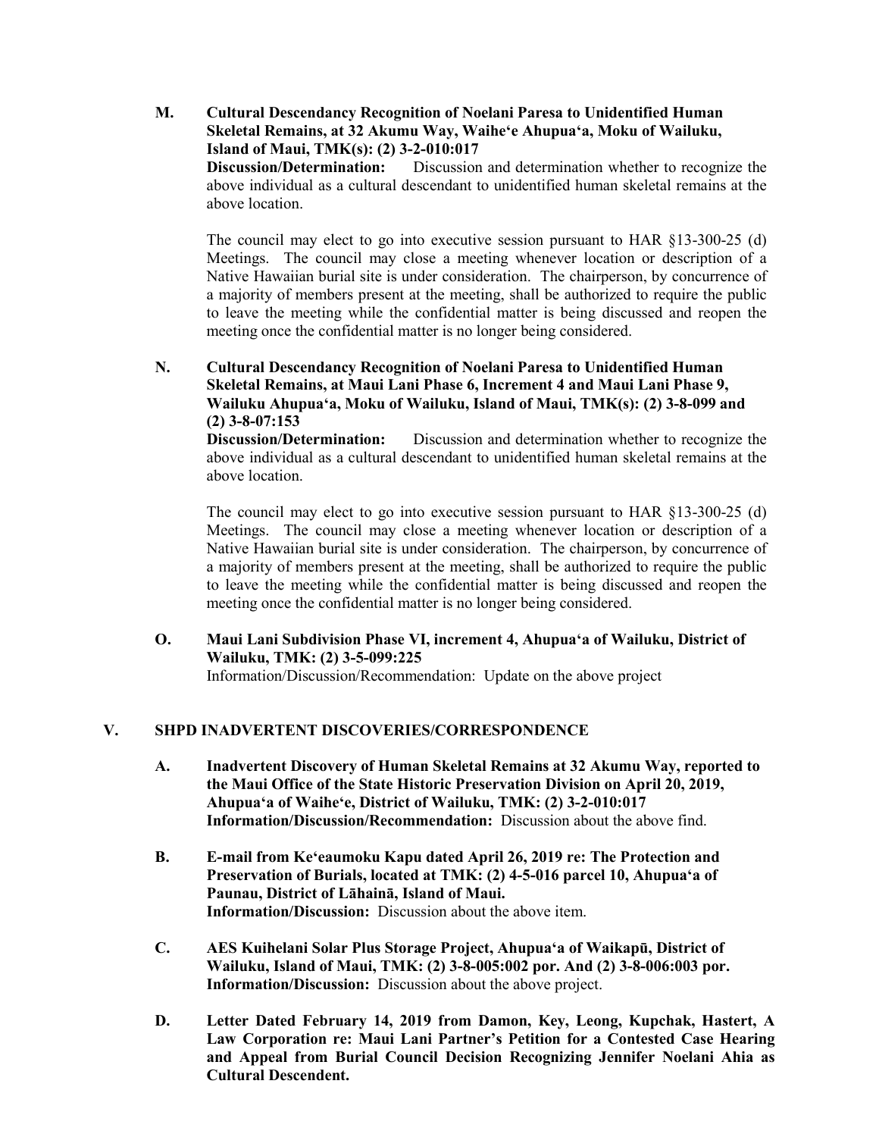**M. Cultural Descendancy Recognition of Noelani Paresa to Unidentified Human Skeletal Remains, at 32 Akumu Way, Waiheʻe Ahupuaʻa, Moku of Wailuku, Island of Maui, TMK(s): (2) 3-2-010:017 Discussion/Determination:** Discussion and determination whether to recognize the

above individual as a cultural descendant to unidentified human skeletal remains at the above location.

The council may elect to go into executive session pursuant to HAR §13-300-25 (d) Meetings. The council may close a meeting whenever location or description of a Native Hawaiian burial site is under consideration. The chairperson, by concurrence of a majority of members present at the meeting, shall be authorized to require the public to leave the meeting while the confidential matter is being discussed and reopen the meeting once the confidential matter is no longer being considered.

**N. Cultural Descendancy Recognition of Noelani Paresa to Unidentified Human Skeletal Remains, at Maui Lani Phase 6, Increment 4 and Maui Lani Phase 9, Wailuku Ahupuaʻa, Moku of Wailuku, Island of Maui, TMK(s): (2) 3-8-099 and (2) 3-8-07:153**

**Discussion/Determination:** Discussion and determination whether to recognize the above individual as a cultural descendant to unidentified human skeletal remains at the above location.

The council may elect to go into executive session pursuant to HAR §13-300-25 (d) Meetings. The council may close a meeting whenever location or description of a Native Hawaiian burial site is under consideration. The chairperson, by concurrence of a majority of members present at the meeting, shall be authorized to require the public to leave the meeting while the confidential matter is being discussed and reopen the meeting once the confidential matter is no longer being considered.

**O. Maui Lani Subdivision Phase VI, increment 4, Ahupuaʻa of Wailuku, District of Wailuku, TMK: (2) 3-5-099:225** Information/Discussion/Recommendation: Update on the above project

### **V. SHPD INADVERTENT DISCOVERIES/CORRESPONDENCE**

- **A. Inadvertent Discovery of Human Skeletal Remains at 32 Akumu Way, reported to the Maui Office of the State Historic Preservation Division on April 20, 2019, Ahupuaʻa of Waiheʻe, District of Wailuku, TMK: (2) 3-2-010:017 Information/Discussion/Recommendation:** Discussion about the above find.
- **B. E-mail from Keʻeaumoku Kapu dated April 26, 2019 re: The Protection and Preservation of Burials, located at TMK: (2) 4-5-016 parcel 10, Ahupuaʻa of Paunau, District of Lāhainā, Island of Maui. Information/Discussion:** Discussion about the above item.
- **C. AES Kuihelani Solar Plus Storage Project, Ahupuaʻa of Waikapū, District of Wailuku, Island of Maui, TMK: (2) 3-8-005:002 por. And (2) 3-8-006:003 por. Information/Discussion:** Discussion about the above project.
- **D. Letter Dated February 14, 2019 from Damon, Key, Leong, Kupchak, Hastert, A Law Corporation re: Maui Lani Partner's Petition for a Contested Case Hearing and Appeal from Burial Council Decision Recognizing Jennifer Noelani Ahia as Cultural Descendent.**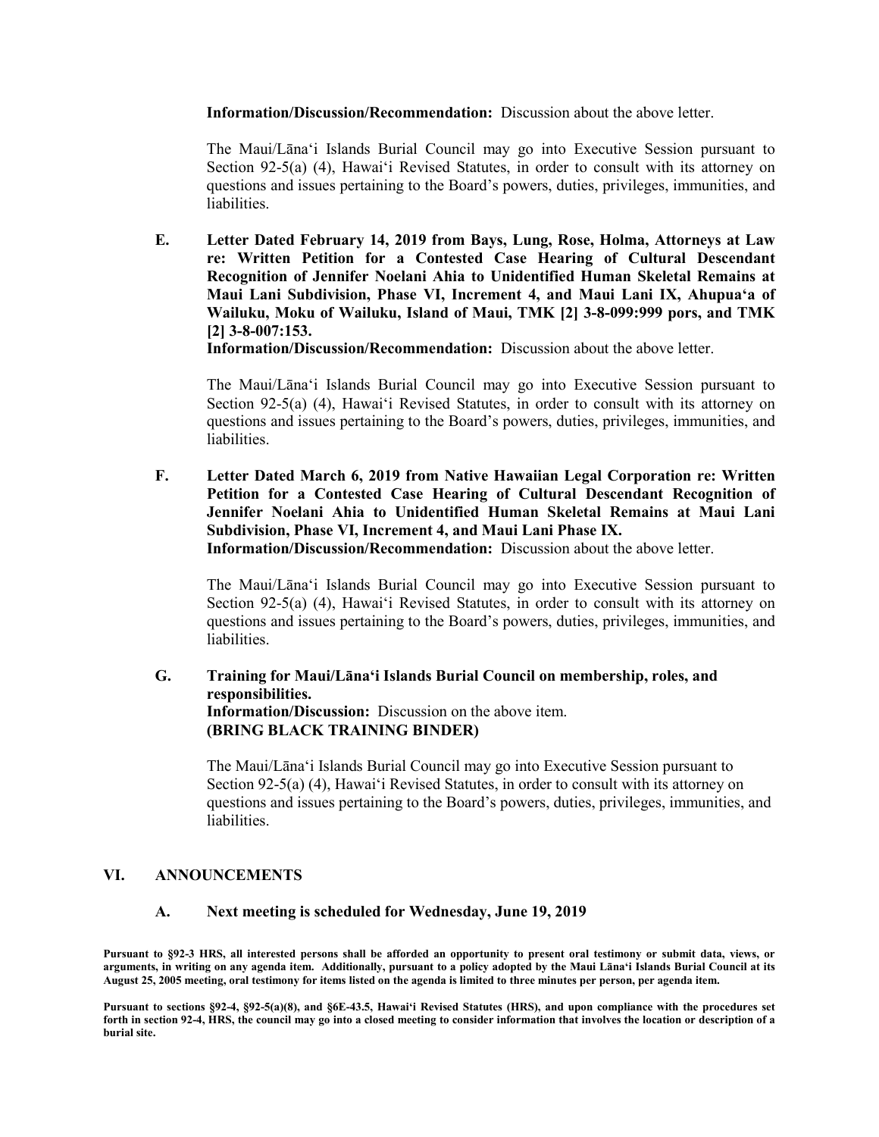**Information/Discussion/Recommendation:** Discussion about the above letter.

The Maui/Lānaʻi Islands Burial Council may go into Executive Session pursuant to Section 92-5(a) (4), Hawaiʻi Revised Statutes, in order to consult with its attorney on questions and issues pertaining to the Board's powers, duties, privileges, immunities, and liabilities.

**E. Letter Dated February 14, 2019 from Bays, Lung, Rose, Holma, Attorneys at Law re: Written Petition for a Contested Case Hearing of Cultural Descendant Recognition of Jennifer Noelani Ahia to Unidentified Human Skeletal Remains at Maui Lani Subdivision, Phase VI, Increment 4, and Maui Lani IX, Ahupuaʻa of Wailuku, Moku of Wailuku, Island of Maui, TMK [2] 3-8-099:999 pors, and TMK [2] 3-8-007:153.**

**Information/Discussion/Recommendation:** Discussion about the above letter.

The Maui/Lānaʻi Islands Burial Council may go into Executive Session pursuant to Section 92-5(a) (4), Hawaiʻi Revised Statutes, in order to consult with its attorney on questions and issues pertaining to the Board's powers, duties, privileges, immunities, and liabilities.

**F. Letter Dated March 6, 2019 from Native Hawaiian Legal Corporation re: Written Petition for a Contested Case Hearing of Cultural Descendant Recognition of Jennifer Noelani Ahia to Unidentified Human Skeletal Remains at Maui Lani Subdivision, Phase VI, Increment 4, and Maui Lani Phase IX. Information/Discussion/Recommendation:** Discussion about the above letter.

The Maui/Lānaʻi Islands Burial Council may go into Executive Session pursuant to Section 92-5(a) (4), Hawaiʻi Revised Statutes, in order to consult with its attorney on questions and issues pertaining to the Board's powers, duties, privileges, immunities, and liabilities.

**G. Training for Maui/Lānaʻi Islands Burial Council on membership, roles, and responsibilities. Information/Discussion:** Discussion on the above item. **(BRING BLACK TRAINING BINDER)**

The Maui/Lānaʻi Islands Burial Council may go into Executive Session pursuant to Section 92-5(a) (4), Hawaiʻi Revised Statutes, in order to consult with its attorney on questions and issues pertaining to the Board's powers, duties, privileges, immunities, and liabilities.

#### **VI. ANNOUNCEMENTS**

#### **A. Next meeting is scheduled for Wednesday, June 19, 2019**

**Pursuant to §92-3 HRS, all interested persons shall be afforded an opportunity to present oral testimony or submit data, views, or arguments, in writing on any agenda item. Additionally, pursuant to a policy adopted by the Maui Lānaʻi Islands Burial Council at its August 25, 2005 meeting, oral testimony for items listed on the agenda is limited to three minutes per person, per agenda item.**

**Pursuant to sections §92-4, §92-5(a)(8), and §6E-43.5, Hawaiʻi Revised Statutes (HRS), and upon compliance with the procedures set forth in section 92-4, HRS, the council may go into a closed meeting to consider information that involves the location or description of a burial site.**